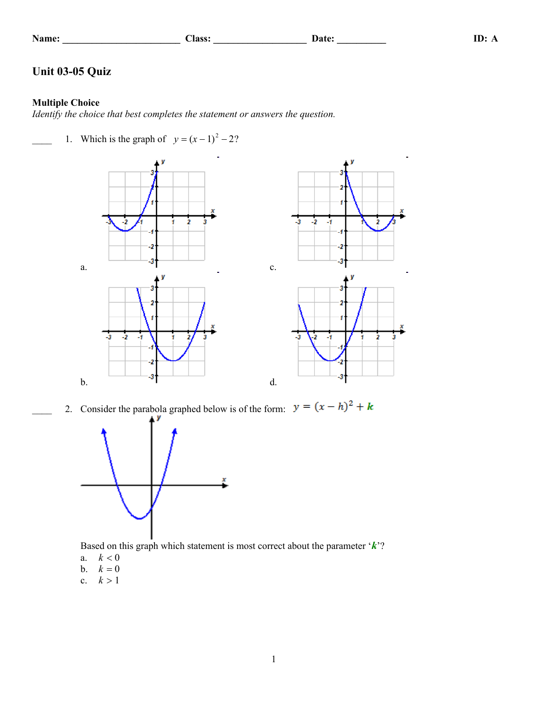| ame |  |
|-----|--|

**Name: \_\_\_\_\_\_\_\_\_\_\_\_\_\_\_\_\_\_\_\_\_\_\_\_ Class: \_\_\_\_\_\_\_\_\_\_\_\_\_\_\_\_\_\_\_ Date: \_\_\_\_\_\_\_\_\_\_ ID: A**

## **Unit 03-05 Quiz**

## **Multiple Choice**

*Identify the choice that best completes the statement or answers the question.*

1. Which is the graph of  $y = (x - 1)^2 - 2$ ?





2. Consider the parabola graphed below is of the form:  $y = (x - h)^2 + k$ 



Based on this graph which statement is most correct about the parameter '*k*'?

- a.  $k < 0$
- b.  $k = 0$
- c.  $k > 1$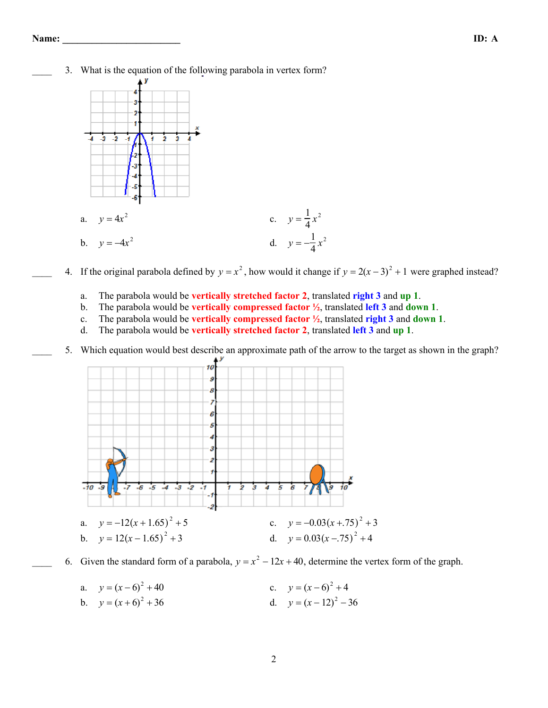3. What is the equation of the following parabola in vertex form?



- 4. If the original parabola defined by  $y = x^2$ , how would it change if  $y = 2(x-3)^2 + 1$  were graphed instead?
	- a. The parabola would be **vertically stretched factor 2**, translated **right 3** and **up 1**.
	- b. The parabola would be **vertically compressed factor ½**, translated **left 3** and **down 1**.
	- c. The parabola would be **vertically compressed factor ½**, translated **right 3** and **down 1**.
	- d. The parabola would be **vertically stretched factor 2**, translated **left 3** and **up 1**.
	- 5. Which equation would best describe an approximate path of the arrow to the target as shown in the graph?



- 6. Given the standard form of a parabola,  $y = x^2 12x + 40$ , determine the vertex form of the graph.
	- a.  $y = (x 6)^2 + 40$  c.  $y = (x 6)^2 + 4$ b.  $v = (x+6)^2 + 36$  d.  $v = (x-12)^2 - 36$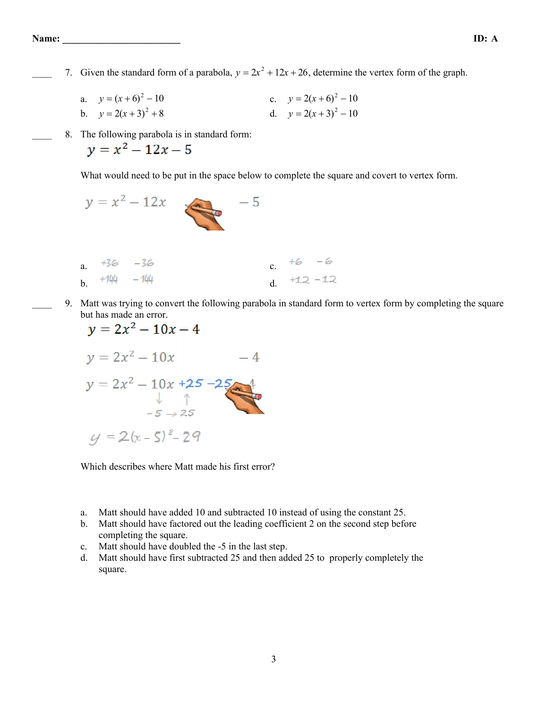- 7. Given the standard form of a parabola,  $y = 2x^2 + 12x + 26$ , determine the vertex form of the graph.
	- a.  $y = (x+6)^2 10$  c.  $y = 2(x+6)^2 10$ b.  $y = 2(x+3)^2 + 8$  d.  $y = 2(x+3)^2 - 10$
	- \_\_\_\_ 8. The following parabola is in standard form:

 $y = x^2 - 12x - 5$ 

What would need to be put in the space below to complete the square and covert to vertex form.

- $y = x^2 12x$  $-5$ a.  $+36 - 36$ <br>b.  $+744 - 744$ <br>c.  $+6 - 6$ <br>d.  $+12 - 12$ b.  $\tau$   $\frac{1}{4}$  -  $\frac{1}{4}$  d.
- \_\_\_\_ 9. Matt was trying to convert the following parabola in standard form to vertex form by completing the square but has made an error.  $\overline{a}$ ä.

$$
y = 2x^{2} - 10x - 4
$$
  
\n
$$
y = 2x^{2} - 10x - 4
$$
  
\n
$$
y = 2x^{2} - 10x + 25 - 25
$$
  
\n
$$
\downarrow \qquad \uparrow
$$
  
\n
$$
-5 \rightarrow 25
$$
  
\n
$$
y = 2(x - 5)^{2} - 29
$$

Which describes where Matt made his first error?

- a. Matt should have added 10 and subtracted 10 instead of using the constant 25.
- b. Matt should have factored out the leading coefficient 2 on the second step before completing the square.
- c. Matt should have doubled the -5 in the last step.
- d. Matt should have first subtracted 25 and then added 25 to properly completely the square.